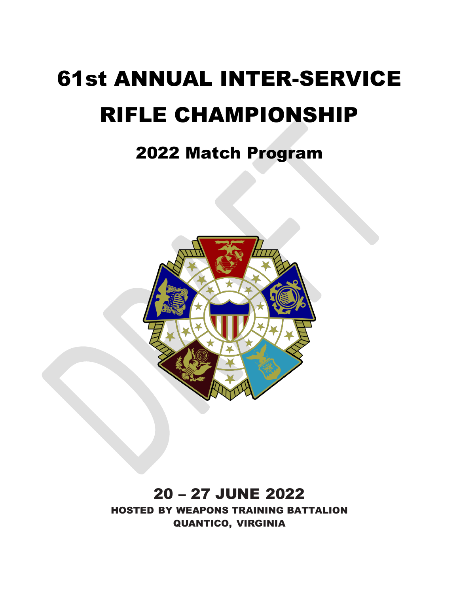# 61st ANNUAL INTER-SERVICE RIFLE CHAMPIONSHIP

# 2022 Match Program



# 20 - 27 JUNE 2022

HOSTED BY WEAPONS TRAINING BATTALION QUANTICO, VIRGINIA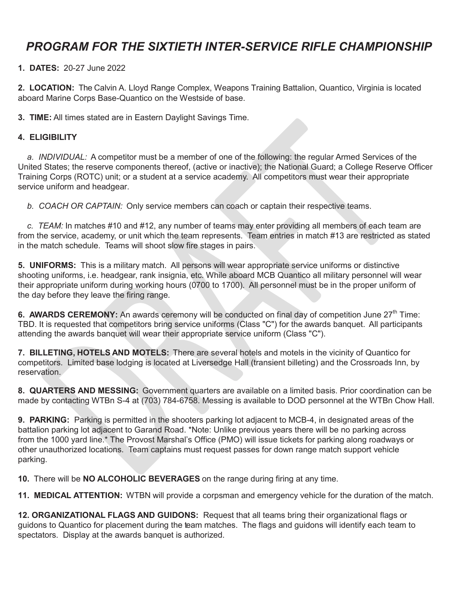## *PROGRAM FOR THE SIXTIETH INTER-SERVICE RIFLE CHAMPIONSHIP*

**1. DATES:** 20-27 June 2022

**2. LOCATION:** The Calvin A. Lloyd Range Complex, Weapons Training Battalion, Quantico, Virginia is located aboard Marine Corps Base-Quantico on the Westside of base.

**3. TIME:** All times stated are in Eastern Daylight Savings Time.

#### **4. ELIGIBILITY**

*a. INDIVIDUAL:* A competitor must be a member of one of the following: the regular Armed Services of the United States; the reserve components thereof, (active or inactive); the National Guard; a College Reserve Officer Training Corps (ROTC) unit; or a student at a service academy. All competitors must wear their appropriate service uniform and headgear.

*b. COACH OR CAPTAIN:* Only service members can coach or captain their respective teams.

*c. TEAM:* In matches #10 and #12, any number of teams may enter providing all members of each team are from the service, academy, or unit which the team represents. Team entries in match #13 are restricted as stated in the match schedule. Teams will shoot slow fire stages in pairs.

**5. UNIFORMS:** This is a military match. All persons will wear appropriate service uniforms or distinctive shooting uniforms, i.e. headgear, rank insignia, etc. While aboard MCB Quantico all military personnel will wear their appropriate uniform during working hours (0700 to 1700). All personnel must be in the proper uniform of the day before they leave the firing range.

**6. AWARDS CEREMONY:** An awards ceremony will be conducted on final day of competition June 27<sup>th</sup> Time: TBD. It is requested that competitors bring service uniforms (Class "C") for the awards banquet. All participants attending the awards banquet will wear their appropriate service uniform (Class "C").

**7. BILLETING, HOTELS AND MOTELS:** There are several hotels and motels in the vicinity of Quantico for competitors. Limited base lodging is located at Liversedge Hall (transient billeting) and the Crossroads Inn, by reservation.

**8. QUARTERS AND MESSING:** Government quarters are available on a limited basis. Prior coordination can be made by contacting WTBn S-4 at (703) 784-6758. Messing is available to DOD personnel at the WTBn Chow Hall.

**9. PARKING:** Parking is permitted in the shooters parking lot adjacent to MCB-4, in designated areas of the battalion parking lot adjacent to Garand Road. \*Note: Unlike previous years there will be no parking across from the 1000 yard line.\* The Provost Marshal's Office (PMO) will issue tickets for parking along roadways or other unauthorized locations. Team captains must request passes for down range match support vehicle parking.

**10.** There will be **NO ALCOHOLIC BEVERAGES** on the range during firing at any time.

**11. MEDICAL ATTENTION:** WTBN will provide a corpsman and emergency vehicle for the duration of the match.

**12. ORGANIZATIONAL FLAGS AND GUIDONS:** Request that all teams bring their organizational flags or guidons to Quantico for placement during the team matches. The flags and guidons will identify each team to spectators. Display at the awards banquet is authorized.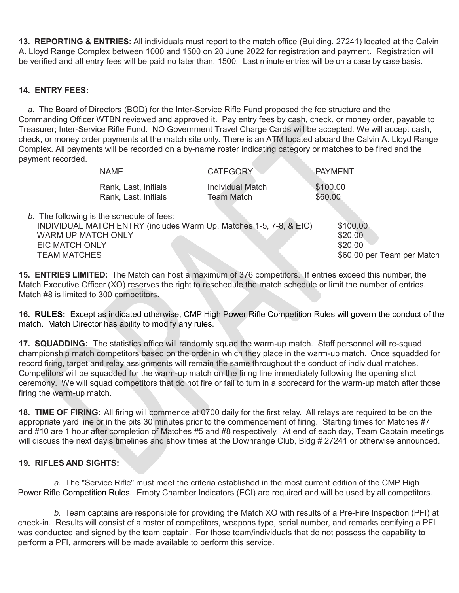**13. REPORTING & ENTRIES:** All individuals must report to the match office (Building. 27241) located at the Calvin A. Lloyd Range Complex between 1000 and 1500 on 20 June 2022 for registration and payment. Registration will be verified and all entry fees will be paid no later than, 1500. Last minute entries will be on a case by case basis.

#### **14. ENTRY FEES:**

*a.* The Board of Directors (BOD) for the Inter-Service Rifle Fund proposed the fee structure and the Commanding Officer WTBN reviewed and approved it. Pay entry fees by cash, check, or money order, payable to Treasurer; Inter-Service Rifle Fund. NO Government Travel Charge Cards will be accepted. We will accept cash, check, or money order payments at the match site only. There is an ATM located aboard the Calvin A. Lloyd Range Complex. All payments will be recorded on a by-name roster indicating category or matches to be fired and the payment recorded.

|                                                                           | <b>NAME</b>                                  | <b>CATEGORY</b>                                                    | PAYMENT                                                      |
|---------------------------------------------------------------------------|----------------------------------------------|--------------------------------------------------------------------|--------------------------------------------------------------|
|                                                                           | Rank, Last, Initials<br>Rank, Last, Initials | <b>Individual Match</b><br><b>Team Match</b>                       | \$100.00<br>\$60.00                                          |
| <b>WARM UP MATCH ONLY</b><br><b>EIC MATCH ONLY</b><br><b>TEAM MATCHES</b> | b. The following is the schedule of fees:    | INDIVIDUAL MATCH ENTRY (includes Warm Up, Matches 1-5, 7-8, & EIC) | \$100.00<br>\$20.00<br>\$20.00<br>\$60.00 per Team per Match |

**15. ENTRIES LIMITED:** The Match can host a maximum of 376 competitors. If entries exceed this number, the Match Executive Officer (XO) reserves the right to reschedule the match schedule or limit the number of entries. Match #8 is limited to 300 competitors.

**16. RULES:** Except as indicated otherwise, CMP High Power Rifle Competition Rules will govern the conduct of the match. Match Director has ability to modify any rules.

**17. SQUADDING:** The statistics office will randomly squad the warm-up match. Staff personnel will re-squad championship match competitors based on the order in which they place in the warm-up match. Once squadded for record firing, target and relay assignments will remain the same throughout the conduct of individual matches. Competitors will be squadded for the warm-up match on the firing line immediately following the opening shot ceremony. We will squad competitors that do not fire or fail to turn in a scorecard for the warm-up match after those firing the warm-up match.

**18. TIME OF FIRING:** All firing will commence at 0700 daily for the first relay. All relays are required to be on the appropriate yard line or in the pits 30 minutes prior to the commencement of firing. Starting times for Matches #7 and #10 are 1 hour after completion of Matches #5 and #8 respectively. At end of each day, Team Captain meetings will discuss the next day's timelines and show times at the Downrange Club, Bldg # 27241 or otherwise announced.

#### **19. RIFLES AND SIGHTS:**

*a.* The "Service Rifle" must meet the criteria established in the most current edition of the CMP High Power Rifle Competition Rules. Empty Chamber Indicators (ECI) are required and will be used by all competitors.

*b.* Team captains are responsible for providing the Match XO with results of a Pre-Fire Inspection (PFI) at check-in.Results will consist of a roster of competitors, weapons type, serial number, and remarks certifying a PFI was conducted and signed by the team captain. For those team/individuals that do not possess the capability to perform a PFI, armorers will be made available to perform this service.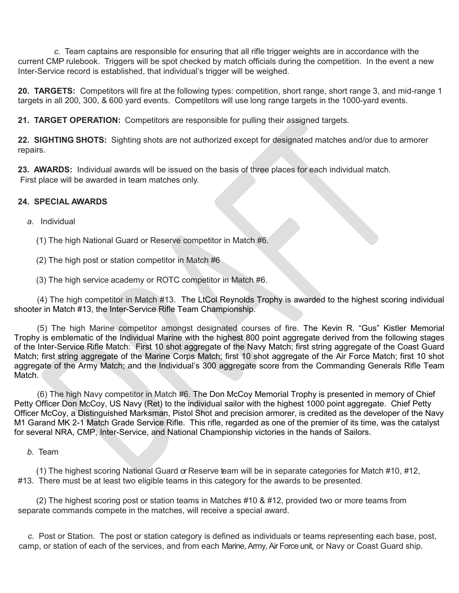*c.* Team captains are responsible for ensuring that all rifle trigger weights are in accordance with the current CMP rulebook. Triggers will be spot checked by match officials during the competition. In the event a new Inter-Service record is established, that individual's trigger will be weighed.

**20. TARGETS:** Competitors will fire at the following types: competition, short range, short range 3, and mid-range 1 targets in all 200, 300, & 600 yard events. Competitors will use long range targets in the 1000-yard events.

**21. TARGET OPERATION:** Competitors are responsible for pulling their assigned targets.

**22. SIGHTING SHOTS:** Sighting shots are not authorized except for designated matches and/or due to armorer repairs.

**23. AWARDS:** Individual awards will be issued on the basis of three places for each individual match. First place will be awarded in team matches only.

#### **24. SPECIAL AWARDS**

*a.* Individual

(1) The high National Guard or Reserve competitor in Match #6.

(2) The high post or station competitor in Match #6

(3) The high service academy or ROTC competitor in Match #6.

 (4) The high competitor in Match #13. The LtCol Reynolds Trophy is awarded to the highest scoring individual shooter in Match #13, the Inter-Service Rifle Team Championship.

(5) The high Marine competitor amongst designated courses of fire. The Kevin R. "Gus" Kistler Memorial Trophy is emblematic of the Individual Marine with the highest 800 point aggregate derived from the following stages of the Inter-Service Rifle Match: First 10 shot aggregate of the Navy Match; first string aggregate of the Coast Guard Match; first string aggregate of the Marine Corps Match; first 10 shot aggregate of the Air Force Match; first 10 shot aggregate of the Army Match; and the Individual's 300 aggregate score from the Commanding Generals Rifle Team Match.

 (6) The high Navy competitor in Match #6. The Don McCoy Memorial Trophy is presented in memory of Chief Petty Officer Don McCoy, US Navy (Ret) to the individual sailor with the highest 1000 point aggregate. Chief Petty Officer McCoy, a Distinguished Marksman, Pistol Shot and precision armorer, is credited as the developer of the Navy M1 Garand MK 2-1 Match Grade Service Rifle. This rifle, regarded as one of the premier of its time, was the catalyst for several NRA, CMP, Inter-Service, and National Championship victories in the hands of Sailors.

*b.* Team

(1) The highest scoring National Guard or Reserve team will be in separate categories for Match #10, #12, #13. There must be at least two eligible teams in this category for the awards to be presented.

(2) The highest scoring post or station teams in Matches #10 & #12, provided two or more teams from separate commands compete in the matches, will receive a special award.

*c.* Post or Station. The post or station category is defined as individuals or teams representing each base, post, camp, or station of each of the services, and from each Marine, Army, Air Force unit, or Navy or Coast Guard ship.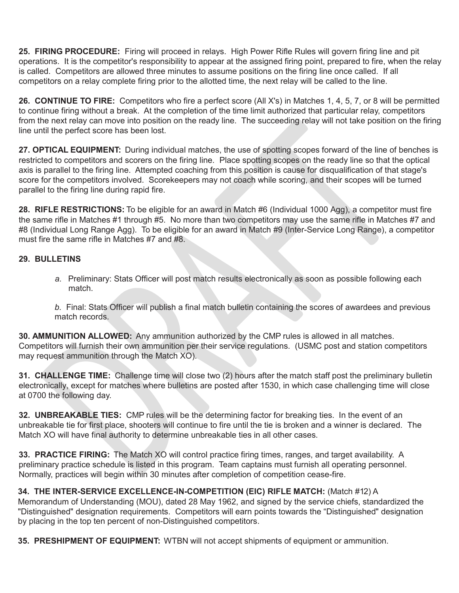**25. FIRING PROCEDURE:** Firing will proceed in relays. High Power Rifle Rules will govern firing line and pit operations. It is the competitor's responsibility to appear at the assigned firing point, prepared to fire, when the relay is called. Competitors are allowed three minutes to assume positions on the firing line once called. If all competitors on a relay complete firing prior to the allotted time, the next relay will be called to the line.

**26. CONTINUE TO FIRE:** Competitors who fire a perfect score (All X's) in Matches 1, 4, 5, 7, or 8 will be permitted to continue firing without a break. At the completion of the time limit authorized that particular relay, competitors from the next relay can move into position on the ready line. The succeeding relay will not take position on the firing line until the perfect score has been lost.

**27. OPTICAL EQUIPMENT:** During individual matches, the use of spotting scopes forward of the line of benches is restricted to competitors and scorers on the firing line. Place spotting scopes on the ready line so that the optical axis is parallel to the firing line. Attempted coaching from this position is cause for disqualification of that stage's score for the competitors involved. Scorekeepers may not coach while scoring, and their scopes will be turned parallel to the firing line during rapid fire.

**28. RIFLE RESTRICTIONS:** To be eligible for an award in Match #6 (Individual 1000 Agg), a competitor must fire the same rifle in Matches #1 through #5. No more than two competitors may use the same rifle in Matches #7 and #8 (Individual Long Range Agg). To be eligible for an award in Match #9 (Inter-Service Long Range), a competitor must fire the same rifle in Matches #7 and #8.

#### **29. BULLETINS**

*a.* Preliminary: Stats Officer will post match results electronically as soon as possible following each match.

*b.* Final: Stats Officer will publish a final match bulletin containing the scores of awardees and previous match records

**30. AMMUNITION ALLOWED:** Any ammunition authorized by the CMP rules is allowed in all matches. Competitors will furnish their own ammunition per their service regulations. (USMC post and station competitors may request ammunition through the Match XO).

**31. CHALLENGE TIME:** Challenge time will close two (2) hours after the match staff post the preliminary bulletin electronically, except for matches where bulletins are posted after 1530, in which case challenging time will close at 0700 the following day.

**32. UNBREAKABLE TIES:** CMP rules will be the determining factor for breaking ties. In the event of an unbreakable tie for first place, shooters will continue to fire until the tie is broken and a winner is declared. The Match XO will have final authority to determine unbreakable ties in all other cases.

**33. PRACTICE FIRING:** The Match XO will control practice firing times, ranges, and target availability. A preliminary practice schedule is listed in this program. Team captains must furnish all operating personnel. Normally, practices will begin within 30 minutes after completion of competition cease-fire.

#### **34. THE INTER-SERVICE EXCELLENCE-IN-COMPETITION (EIC) RIFLE MATCH:** (Match #12) A

Memorandum of Understanding (MOU), dated 28 May 1962, and signed by the service chiefs, standardized the "Distinguished" designation requirements. Competitors will earn points towards the "Distinguished" designation by placing in the top ten percent of non-Distinguished competitors.

**35. PRESHIPMENT OF EQUIPMENT:** WTBN will not accept shipments of equipment or ammunition.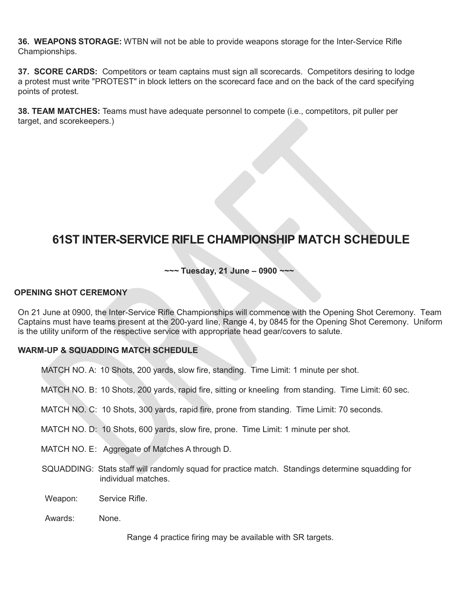**36. WEAPONS STORAGE:** WTBN will not be able to provide weapons storage for the Inter-Service Rifle Championships.

**37. SCORE CARDS:** Competitors or team captains must sign all scorecards. Competitors desiring to lodge a protest must write "PROTEST" in block letters on the scorecard face and on the back of the card specifying points of protest.

**38. TEAM MATCHES:** Teams must have adequate personnel to compete (i.e., competitors, pit puller per target, and scorekeepers.)

### **61ST INTER-SERVICE RIFLE CHAMPIONSHIP MATCH SCHEDULE**

#### *~~~* **Tuesday, 21 June ± 0900** *~~~*

#### **OPENING SHOT CEREMONY**

On 21 June at 0900, the Inter-Service Rifle Championships will commence with the Opening Shot Ceremony. Team Captains must have teams present at the 200-yard line, Range 4, by 0845 for the Opening Shot Ceremony. Uniform is the utility uniform of the respective service with appropriate head gear/covers to salute.

#### **WARM-UP & SQUADDING MATCH SCHEDULE**

MATCH NO. A: 10 Shots, 200 yards, slow fire, standing. Time Limit: 1 minute per shot.

MATCH NO. B: 10 Shots, 200 yards, rapid fire, sitting or kneeling from standing. Time Limit: 60 sec.

MATCH NO. C: 10 Shots, 300 yards, rapid fire, prone from standing. Time Limit: 70 seconds.

MATCH NO. D: 10 Shots, 600 yards, slow fire, prone. Time Limit: 1 minute per shot.

MATCH NO. E: Aggregate of Matches A through D.

- SQUADDING: Stats staff will randomly squad for practice match. Standings determine squadding for individual matches.
- Weapon: Service Rifle.
- Awards: None.

Range 4 practice firing may be available with SR targets.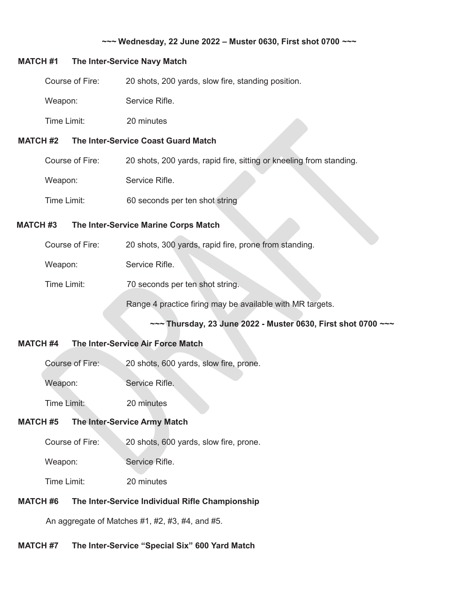#### *~~~* **Wednesday, 22 June 2022 ± Muster 0630, First shot 0700** *~~~*

#### **MATCH #1 The Inter-Service Navy Match**

| <b>MATCH #2</b> |             |                 | The Inter-Service Coast Guard Match                |  |
|-----------------|-------------|-----------------|----------------------------------------------------|--|
|                 | Time Limit: |                 | 20 minutes                                         |  |
|                 | Weapon:     |                 | Service Rifle.                                     |  |
|                 |             | Course of Fire: | 20 shots, 200 yards, slow fire, standing position. |  |

| Course of Fire: | 20 shots, 200 yards, rapid fire, sitting or kneeling from standing. |
|-----------------|---------------------------------------------------------------------|
| Weapon:         | Service Rifle.                                                      |
| Time Limit:     | 60 seconds per ten shot string                                      |

#### **MATCH #3 The Inter-Service Marine Corps Match**

| Course of Fire: | 20 shots, 300 yards, rapid fire, prone from standing.     |
|-----------------|-----------------------------------------------------------|
| Weapon:         | Service Rifle.                                            |
| Time Limit:     | 70 seconds per ten shot string.                           |
|                 | Range 4 practice firing may be available with MR targets. |

*~~~* **Thursday, 23 June 2022 - Muster 0630, First shot 0700** *~~~*

#### **MATCH #4 The Inter-Service Air Force Match**

| Course of Fire: |  |  | 20 shots, 600 yards, slow fire, prone. |
|-----------------|--|--|----------------------------------------|
|-----------------|--|--|----------------------------------------|

Weapon: Service Rifle.

Time Limit: 20 minutes

#### **MATCH #5 The Inter-Service Army Match**

Course of Fire: 20 shots, 600 yards, slow fire, prone.

Weapon: Service Rifle.

Time Limit: 20 minutes

#### **MATCH #6 The Inter-Service Individual Rifle Championship**

An aggregate of Matches #1, #2, #3, #4, and #5.

#### **MATCH #7** The Inter-Service "Special Six" 600 Yard Match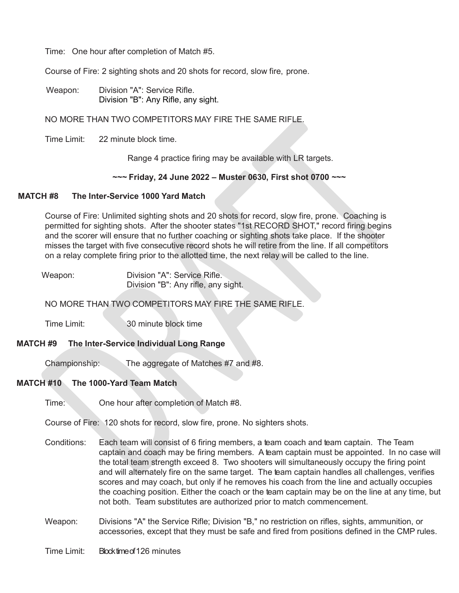Time: One hour after completion of Match #5.

Course of Fire: 2 sighting shots and 20 shots for record, slow fire, prone.

Weapon: Division "A": Service Rifle. Division "B": Any Rifle, any sight.

NO MORE THAN TWO COMPETITORS MAY FIRE THE SAME RIFLE.

Time Limit: 22 minute block time.

Range 4 practice firing may be available with LR targets.

#### *~~~* **Friday, 24 June 2022 ± Muster 0630, First shot 0700** *~~~*

#### **MATCH #8 The Inter-Service 1000 Yard Match**

Course of Fire: Unlimited sighting shots and 20 shots for record, slow fire, prone. Coaching is permitted for sighting shots. After the shooter states "1st RECORD SHOT," record firing begins and the scorer will ensure that no further coaching or sighting shots take place. If the shooter misses the target with five consecutive record shots he will retire from the line. If all competitors on a relay complete firing prior to the allotted time, the next relay will be called to the line.

| Weapon: | Division "A": Service Rifle.        |
|---------|-------------------------------------|
|         | Division "B": Any rifle, any sight. |

NO MORE THAN TWO COMPETITORS MAY FIRE THE SAME RIFLE.

Time Limit: 30 minute block time

#### **MATCH #9 The Inter-Service Individual Long Range**

Championship: The aggregate of Matches #7 and #8.

#### **MATCH #10 The 1000-Yard Team Match**

Time: One hour after completion of Match #8.

Course of Fire: 120 shots for record, slow fire, prone. No sighters shots.

- Conditions: Each team will consist of 6 firing members, a team coach and team captain. The Team captain and coach may be firing members. A team captain must be appointed. In no case will the total team strength exceed 8. Two shooters will simultaneously occupy the firing point and will alternately fire on the same target. The team captain handles all challenges, verifies scores and may coach, but only if he removes his coach from the line and actually occupies the coaching position. Either the coach or the team captain may be on the line at any time, but not both. Team substitutes are authorized prior to match commencement.
- Weapon: Divisions "A" the Service Rifle; Division "B," no restriction on rifles, sights, ammunition, or accessories, except that they must be safe and fired from positions defined in the CMP rules.

Time Limit: Block time of 126 minutes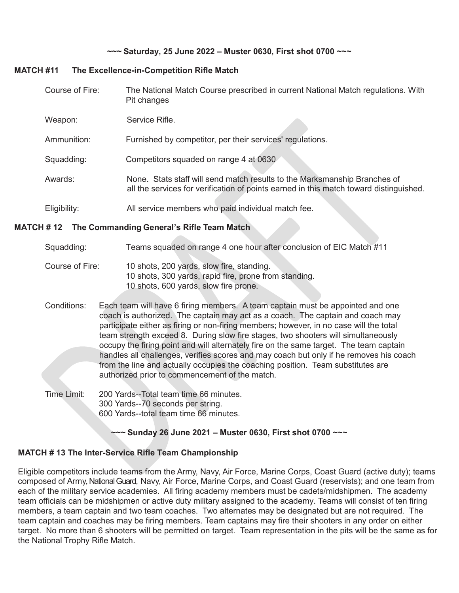#### *~~~* **Saturday, 25 June 2022 ± Muster 0630, First shot 0700** *~~~*

#### **MATCH #11 The Excellence-in-Competition Rifle Match**

| Course of Fire: | The National Match Course prescribed in current National Match regulations. With<br>Pit changes                                                                     |
|-----------------|---------------------------------------------------------------------------------------------------------------------------------------------------------------------|
| Weapon:         | Service Rifle.                                                                                                                                                      |
| Ammunition:     | Furnished by competitor, per their services' regulations.                                                                                                           |
| Squadding:      | Competitors squaded on range 4 at 0630                                                                                                                              |
| Awards:         | None. Stats staff will send match results to the Marksmanship Branches of<br>all the services for verification of points earned in this match toward distinguished. |
| Eligibility:    | All service members who paid individual match fee.                                                                                                                  |

#### **MATCH # 12 The Commanding General's Rifle Team Match**

#### Squadding: Teams squaded on range 4 one hour after conclusion of EIC Match #11

Course of Fire: 10 shots, 200 yards, slow fire, standing. 10 shots, 300 yards, rapid fire, prone from standing. 10 shots, 600 yards, slow fire prone.

Conditions: Each team will have 6 firing members. A team captain must be appointed and one coach is authorized. The captain may act as a coach. The captain and coach may participate either as firing or non-firing members; however, in no case will the total team strength exceed 8. During slow fire stages, two shooters will simultaneously occupy the firing point and will alternately fire on the same target. The team captain handles all challenges, verifies scores and may coach but only if he removes his coach from the line and actually occupies the coaching position. Team substitutes are authorized prior to commencement of the match.

Time Limit: 200 Yards--Total team time 66 minutes. 300 Yards--70 seconds per string. 600 Yards--total team time 66 minutes.

*~~~* **Sunday 26 June 2021 ± Muster 0630, First shot 0700** *~~~*

#### **MATCH # 13 The Inter-Service Rifle Team Championship**

Eligible competitors include teams from the Army, Navy, Air Force, Marine Corps, Coast Guard (active duty); teams composed of Army, National Guard, Navy, Air Force, Marine Corps, and Coast Guard (reservists); and one team from each of the military service academies. All firing academy members must be cadets/midshipmen. The academy team officials can be midshipmen or active duty military assigned to the academy. Teams will consist of ten firing members, a team captain and two team coaches. Two alternates may be designated but are not required. The team captain and coaches may be firing members. Team captains may fire their shooters in any order on either target. No more than 6 shooters will be permitted on target. Team representation in the pits will be the same as for the National Trophy Rifle Match.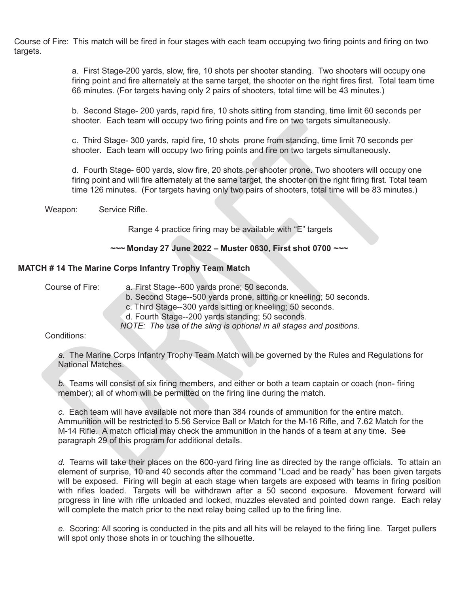Course of Fire: This match will be fired in four stages with each team occupying two firing points and firing on two targets.

> a. First Stage-200 yards, slow, fire, 10 shots per shooter standing. Two shooters will occupy one firing point and fire alternately at the same target, the shooter on the right fires first. Total team time 66 minutes. (For targets having only 2 pairs of shooters, total time will be 43 minutes.)

b. Second Stage- 200 yards, rapid fire, 10 shots sitting from standing, time limit 60 seconds per shooter. Each team will occupy two firing points and fire on two targets simultaneously.

c. Third Stage- 300 yards, rapid fire, 10 shots prone from standing, time limit 70 seconds per shooter. Each team will occupy two firing points and fire on two targets simultaneously.

d. Fourth Stage- 600 yards, slow fire, 20 shots per shooter prone. Two shooters will occupy one firing point and will fire alternately at the same target, the shooter on the right firing first. Total team time 126 minutes. (For targets having only two pairs of shooters, total time will be 83 minutes.)

Weapon: Service Rifle.

Range 4 practice firing may be available with "E" targets

#### *~~~* **Monday 27 June 2022 ± Muster 0630, First shot 0700** *~~~*

#### **MATCH # 14 The Marine Corps Infantry Trophy Team Match**

Course of Fire: a. First Stage--600 yards prone; 50 seconds.

- b. Second Stage--500 yards prone, sitting or kneeling; 50 seconds.
- c. Third Stage--300 yards sitting or kneeling; 50 seconds.

d. Fourth Stage--200 yards standing; 50 seconds.

*NOTE: The use of the sling is optional in all stages and positions.*

#### Conditions:

*a.* The Marine Corps Infantry Trophy Team Match will be governed by the Rules and Regulations for National Matches.

*b.* Teams will consist of six firing members, and either or both a team captain or coach (non- firing member); all of whom will be permitted on the firing line during the match.

*c.* Each team will have available not more than 384 rounds of ammunition for the entire match. Ammunition will be restricted to 5.56 Service Ball or Match for the M-16 Rifle, and 7.62 Match for the M-14 Rifle. A match official may check the ammunition in the hands of a team at any time. See paragraph 29 of this program for additional details.

*d.* Teams will take their places on the 600-yard firing line as directed by the range officials. To attain an element of surprise, 10 and 40 seconds after the command "Load and be ready" has been given targets will be exposed. Firing will begin at each stage when targets are exposed with teams in firing position with rifles loaded. Targets will be withdrawn after a 50 second exposure. Movement forward will progress in line with rifle unloaded and locked, muzzles elevated and pointed down range. Each relay will complete the match prior to the next relay being called up to the firing line.

*e.* Scoring: All scoring is conducted in the pits and all hits will be relayed to the firing line. Target pullers will spot only those shots in or touching the silhouette.